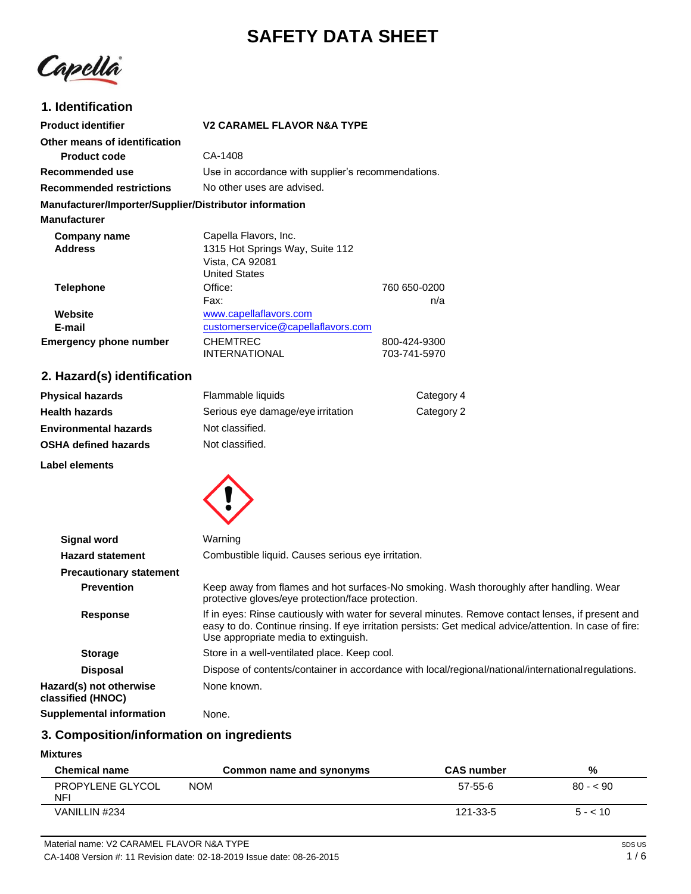# **SAFETY DATA SHEET**



# **1. Identification**

| <b>Product identifier</b>                              | <b>V2 CARAMEL FLAVOR N&amp;A TYPE</b>              |              |
|--------------------------------------------------------|----------------------------------------------------|--------------|
| Other means of identification                          |                                                    |              |
| <b>Product code</b>                                    | CA-1408                                            |              |
| Recommended use                                        | Use in accordance with supplier's recommendations. |              |
| <b>Recommended restrictions</b>                        | No other uses are advised.                         |              |
| Manufacturer/Importer/Supplier/Distributor information |                                                    |              |
| <b>Manufacturer</b>                                    |                                                    |              |
| Company name                                           | Capella Flavors, Inc.                              |              |
| <b>Address</b>                                         | 1315 Hot Springs Way, Suite 112                    |              |
|                                                        | Vista, CA 92081                                    |              |
|                                                        | <b>United States</b>                               |              |
| <b>Telephone</b>                                       | Office:                                            | 760 650-0200 |
|                                                        | Fax:                                               | n/a          |
| Website                                                | www.capellaflavors.com                             |              |
| E-mail                                                 | customerservice@capellaflavors.com                 |              |
| <b>Emergency phone number</b>                          | <b>CHEMTREC</b>                                    | 800-424-9300 |
|                                                        | <b>INTERNATIONAL</b>                               | 703-741-5970 |

# **2. Hazard(s) identification**

| <b>Physical hazards</b>      | Flammable liquids                 | Category 4 |
|------------------------------|-----------------------------------|------------|
| <b>Health hazards</b>        | Serious eye damage/eye irritation | Category 2 |
| <b>Environmental hazards</b> | Not classified.                   |            |
| <b>OSHA defined hazards</b>  | Not classified.                   |            |
|                              |                                   |            |

**Label elements**



| <b>Signal word</b>                           | Warning                                                                                                                                                                                                                                                |
|----------------------------------------------|--------------------------------------------------------------------------------------------------------------------------------------------------------------------------------------------------------------------------------------------------------|
| <b>Hazard statement</b>                      | Combustible liquid. Causes serious eye irritation.                                                                                                                                                                                                     |
| <b>Precautionary statement</b>               |                                                                                                                                                                                                                                                        |
| <b>Prevention</b>                            | Keep away from flames and hot surfaces-No smoking. Wash thoroughly after handling. Wear<br>protective gloves/eye protection/face protection.                                                                                                           |
| <b>Response</b>                              | If in eyes: Rinse cautiously with water for several minutes. Remove contact lenses, if present and<br>easy to do. Continue rinsing. If eye irritation persists: Get medical advice/attention. In case of fire:<br>Use appropriate media to extinguish. |
| <b>Storage</b>                               | Store in a well-ventilated place. Keep cool.                                                                                                                                                                                                           |
| <b>Disposal</b>                              | Dispose of contents/container in accordance with local/regional/national/international regulations.                                                                                                                                                    |
| Hazard(s) not otherwise<br>classified (HNOC) | None known.                                                                                                                                                                                                                                            |
| Supplemental information                     | None.                                                                                                                                                                                                                                                  |

# **3. Composition/information on ingredients**

### **Mixtures**

| <b>Chemical name</b>    | Common name and synonyms | <b>CAS number</b> | %         |
|-------------------------|--------------------------|-------------------|-----------|
| PROPYLENE GLYCOL<br>NFI | <b>NOM</b>               | 57-55-6           | $80 - 90$ |
| VANILLIN #234           |                          | 121-33-5          | $5 - 10$  |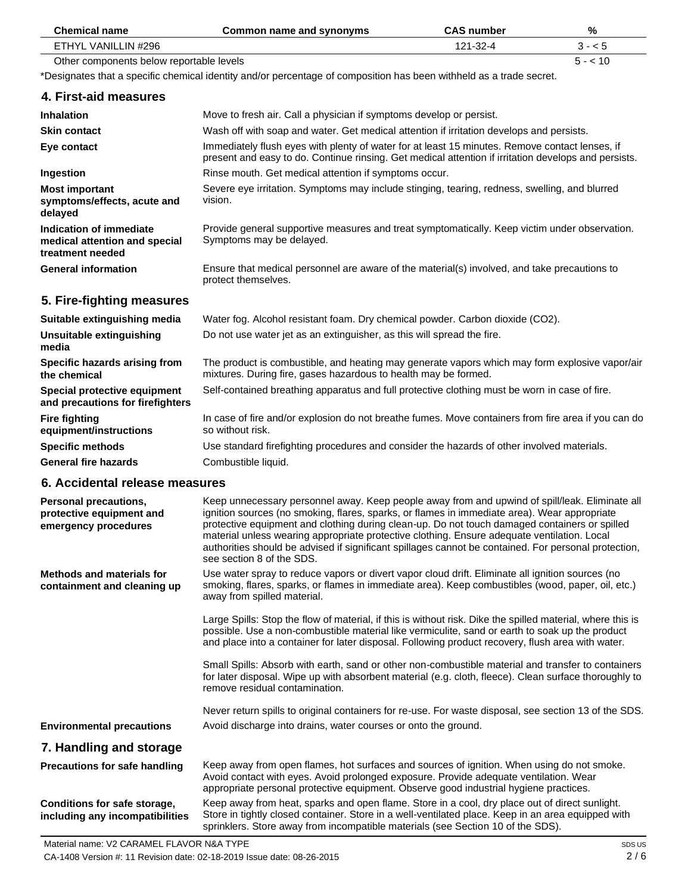| <b>Chemical name</b>                                                         | Common name and synonyms                                                                                                                                                                                                                                                                                                                                                                                                                                                                                                            | <b>CAS number</b> | %        |
|------------------------------------------------------------------------------|-------------------------------------------------------------------------------------------------------------------------------------------------------------------------------------------------------------------------------------------------------------------------------------------------------------------------------------------------------------------------------------------------------------------------------------------------------------------------------------------------------------------------------------|-------------------|----------|
| ETHYL VANILLIN #296                                                          |                                                                                                                                                                                                                                                                                                                                                                                                                                                                                                                                     | 121-32-4          | $3 - 5$  |
| Other components below reportable levels                                     |                                                                                                                                                                                                                                                                                                                                                                                                                                                                                                                                     |                   | $5 - 10$ |
|                                                                              | *Designates that a specific chemical identity and/or percentage of composition has been withheld as a trade secret.                                                                                                                                                                                                                                                                                                                                                                                                                 |                   |          |
| 4. First-aid measures                                                        |                                                                                                                                                                                                                                                                                                                                                                                                                                                                                                                                     |                   |          |
| <b>Inhalation</b>                                                            | Move to fresh air. Call a physician if symptoms develop or persist.                                                                                                                                                                                                                                                                                                                                                                                                                                                                 |                   |          |
| <b>Skin contact</b>                                                          | Wash off with soap and water. Get medical attention if irritation develops and persists.                                                                                                                                                                                                                                                                                                                                                                                                                                            |                   |          |
| Eye contact                                                                  | Immediately flush eyes with plenty of water for at least 15 minutes. Remove contact lenses, if<br>present and easy to do. Continue rinsing. Get medical attention if irritation develops and persists.                                                                                                                                                                                                                                                                                                                              |                   |          |
| Ingestion                                                                    | Rinse mouth. Get medical attention if symptoms occur.                                                                                                                                                                                                                                                                                                                                                                                                                                                                               |                   |          |
| <b>Most important</b><br>symptoms/effects, acute and<br>delayed              | Severe eye irritation. Symptoms may include stinging, tearing, redness, swelling, and blurred<br>vision.                                                                                                                                                                                                                                                                                                                                                                                                                            |                   |          |
| Indication of immediate<br>medical attention and special<br>treatment needed | Provide general supportive measures and treat symptomatically. Keep victim under observation.<br>Symptoms may be delayed.                                                                                                                                                                                                                                                                                                                                                                                                           |                   |          |
| <b>General information</b>                                                   | Ensure that medical personnel are aware of the material(s) involved, and take precautions to<br>protect themselves.                                                                                                                                                                                                                                                                                                                                                                                                                 |                   |          |
| 5. Fire-fighting measures                                                    |                                                                                                                                                                                                                                                                                                                                                                                                                                                                                                                                     |                   |          |
| Suitable extinguishing media                                                 | Water fog. Alcohol resistant foam. Dry chemical powder. Carbon dioxide (CO2).                                                                                                                                                                                                                                                                                                                                                                                                                                                       |                   |          |
| Unsuitable extinguishing<br>media                                            | Do not use water jet as an extinguisher, as this will spread the fire.                                                                                                                                                                                                                                                                                                                                                                                                                                                              |                   |          |
| Specific hazards arising from<br>the chemical                                | The product is combustible, and heating may generate vapors which may form explosive vapor/air<br>mixtures. During fire, gases hazardous to health may be formed.                                                                                                                                                                                                                                                                                                                                                                   |                   |          |
| Special protective equipment<br>and precautions for firefighters             | Self-contained breathing apparatus and full protective clothing must be worn in case of fire.                                                                                                                                                                                                                                                                                                                                                                                                                                       |                   |          |
| <b>Fire fighting</b><br>equipment/instructions                               | In case of fire and/or explosion do not breathe fumes. Move containers from fire area if you can do<br>so without risk.                                                                                                                                                                                                                                                                                                                                                                                                             |                   |          |
| <b>Specific methods</b>                                                      | Use standard firefighting procedures and consider the hazards of other involved materials.                                                                                                                                                                                                                                                                                                                                                                                                                                          |                   |          |
| <b>General fire hazards</b>                                                  | Combustible liquid.                                                                                                                                                                                                                                                                                                                                                                                                                                                                                                                 |                   |          |
| 6. Accidental release measures                                               |                                                                                                                                                                                                                                                                                                                                                                                                                                                                                                                                     |                   |          |
| Personal precautions,<br>protective equipment and<br>emergency procedures    | Keep unnecessary personnel away. Keep people away from and upwind of spill/leak. Eliminate all<br>ignition sources (no smoking, flares, sparks, or flames in immediate area). Wear appropriate<br>protective equipment and clothing during clean-up. Do not touch damaged containers or spilled<br>material unless wearing appropriate protective clothing. Ensure adequate ventilation. Local<br>authorities should be advised if significant spillages cannot be contained. For personal protection,<br>see section 8 of the SDS. |                   |          |
| <b>Methods and materials for</b><br>containment and cleaning up              | Use water spray to reduce vapors or divert vapor cloud drift. Eliminate all ignition sources (no<br>smoking, flares, sparks, or flames in immediate area). Keep combustibles (wood, paper, oil, etc.)<br>away from spilled material.                                                                                                                                                                                                                                                                                                |                   |          |
|                                                                              | Large Spills: Stop the flow of material, if this is without risk. Dike the spilled material, where this is<br>possible. Use a non-combustible material like vermiculite, sand or earth to soak up the product<br>and place into a container for later disposal. Following product recovery, flush area with water.                                                                                                                                                                                                                  |                   |          |
|                                                                              | Small Spills: Absorb with earth, sand or other non-combustible material and transfer to containers<br>for later disposal. Wipe up with absorbent material (e.g. cloth, fleece). Clean surface thoroughly to<br>remove residual contamination.                                                                                                                                                                                                                                                                                       |                   |          |
|                                                                              | Never return spills to original containers for re-use. For waste disposal, see section 13 of the SDS.                                                                                                                                                                                                                                                                                                                                                                                                                               |                   |          |
| <b>Environmental precautions</b>                                             | Avoid discharge into drains, water courses or onto the ground.                                                                                                                                                                                                                                                                                                                                                                                                                                                                      |                   |          |
| 7. Handling and storage                                                      |                                                                                                                                                                                                                                                                                                                                                                                                                                                                                                                                     |                   |          |
| <b>Precautions for safe handling</b>                                         | Keep away from open flames, hot surfaces and sources of ignition. When using do not smoke.<br>Avoid contact with eyes. Avoid prolonged exposure. Provide adequate ventilation. Wear<br>appropriate personal protective equipment. Observe good industrial hygiene practices.                                                                                                                                                                                                                                                        |                   |          |
| Conditions for safe storage,                                                 | Keep away from heat, sparks and open flame. Store in a cool, dry place out of direct sunlight.                                                                                                                                                                                                                                                                                                                                                                                                                                      |                   |          |

Store in tightly closed container. Store in a well-ventilated place. Keep in an area equipped with

sprinklers. Store away from incompatible materials (see Section 10 of the SDS).

**Conditions for safe storage, including any incompatibilities**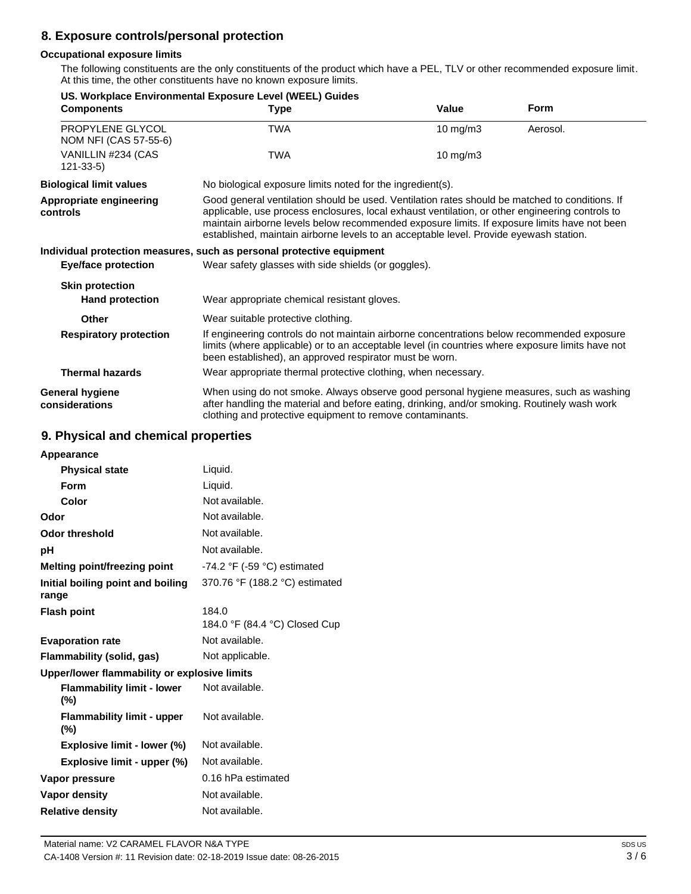# **8. Exposure controls/personal protection**

# **Occupational exposure limits**

The following constituents are the only constituents of the product which have a PEL, TLV or other recommended exposure limit. At this time, the other constituents have no known exposure limits.

| <b>Type</b>                                                                                                                                                                                                                                                                                | Value             | <b>Form</b>                                                                                                                                                                                                                                                                                                                                                                                                                                                                                                                                                                                                                                                                                                                                                                                                                                                                                                |
|--------------------------------------------------------------------------------------------------------------------------------------------------------------------------------------------------------------------------------------------------------------------------------------------|-------------------|------------------------------------------------------------------------------------------------------------------------------------------------------------------------------------------------------------------------------------------------------------------------------------------------------------------------------------------------------------------------------------------------------------------------------------------------------------------------------------------------------------------------------------------------------------------------------------------------------------------------------------------------------------------------------------------------------------------------------------------------------------------------------------------------------------------------------------------------------------------------------------------------------------|
| <b>TWA</b>                                                                                                                                                                                                                                                                                 | 10 mg/m3          | Aerosol.                                                                                                                                                                                                                                                                                                                                                                                                                                                                                                                                                                                                                                                                                                                                                                                                                                                                                                   |
| <b>TWA</b>                                                                                                                                                                                                                                                                                 | $10 \text{ mg/m}$ |                                                                                                                                                                                                                                                                                                                                                                                                                                                                                                                                                                                                                                                                                                                                                                                                                                                                                                            |
|                                                                                                                                                                                                                                                                                            |                   |                                                                                                                                                                                                                                                                                                                                                                                                                                                                                                                                                                                                                                                                                                                                                                                                                                                                                                            |
|                                                                                                                                                                                                                                                                                            |                   |                                                                                                                                                                                                                                                                                                                                                                                                                                                                                                                                                                                                                                                                                                                                                                                                                                                                                                            |
|                                                                                                                                                                                                                                                                                            |                   |                                                                                                                                                                                                                                                                                                                                                                                                                                                                                                                                                                                                                                                                                                                                                                                                                                                                                                            |
| Wear safety glasses with side shields (or goggles).                                                                                                                                                                                                                                        |                   |                                                                                                                                                                                                                                                                                                                                                                                                                                                                                                                                                                                                                                                                                                                                                                                                                                                                                                            |
|                                                                                                                                                                                                                                                                                            |                   |                                                                                                                                                                                                                                                                                                                                                                                                                                                                                                                                                                                                                                                                                                                                                                                                                                                                                                            |
|                                                                                                                                                                                                                                                                                            |                   |                                                                                                                                                                                                                                                                                                                                                                                                                                                                                                                                                                                                                                                                                                                                                                                                                                                                                                            |
| Wear suitable protective clothing.                                                                                                                                                                                                                                                         |                   |                                                                                                                                                                                                                                                                                                                                                                                                                                                                                                                                                                                                                                                                                                                                                                                                                                                                                                            |
| If engineering controls do not maintain airborne concentrations below recommended exposure<br><b>Respiratory protection</b><br>limits (where applicable) or to an acceptable level (in countries where exposure limits have not<br>been established), an approved respirator must be worn. |                   |                                                                                                                                                                                                                                                                                                                                                                                                                                                                                                                                                                                                                                                                                                                                                                                                                                                                                                            |
|                                                                                                                                                                                                                                                                                            |                   |                                                                                                                                                                                                                                                                                                                                                                                                                                                                                                                                                                                                                                                                                                                                                                                                                                                                                                            |
|                                                                                                                                                                                                                                                                                            |                   |                                                                                                                                                                                                                                                                                                                                                                                                                                                                                                                                                                                                                                                                                                                                                                                                                                                                                                            |
|                                                                                                                                                                                                                                                                                            |                   | No biological exposure limits noted for the ingredient(s).<br>Good general ventilation should be used. Ventilation rates should be matched to conditions. If<br>applicable, use process enclosures, local exhaust ventilation, or other engineering controls to<br>maintain airborne levels below recommended exposure limits. If exposure limits have not been<br>established, maintain airborne levels to an acceptable level. Provide eyewash station.<br>Individual protection measures, such as personal protective equipment<br>Wear appropriate chemical resistant gloves.<br>Wear appropriate thermal protective clothing, when necessary.<br>When using do not smoke. Always observe good personal hygiene measures, such as washing<br>after handling the material and before eating, drinking, and/or smoking. Routinely wash work<br>clothing and protective equipment to remove contaminants. |

# **9. Physical and chemical properties**

| Appearance                                   |                                               |
|----------------------------------------------|-----------------------------------------------|
| <b>Physical state</b>                        | Liquid.                                       |
| Form                                         | Liquid.                                       |
| Color                                        | Not available.                                |
| Odor                                         | Not available.                                |
| Odor threshold                               | Not available.                                |
| рH                                           | Not available.                                |
| Melting point/freezing point                 | -74.2 $\degree$ F (-59 $\degree$ C) estimated |
| Initial boiling point and boiling<br>range   | 370.76 °F (188.2 °C) estimated                |
| <b>Flash point</b>                           | 184.0<br>184.0 °F (84.4 °C) Closed Cup        |
| <b>Evaporation rate</b>                      | Not available.                                |
| Flammability (solid, gas)                    | Not applicable.                               |
| Upper/lower flammability or explosive limits |                                               |
| <b>Flammability limit - lower</b><br>$(\% )$ | Not available.                                |
| <b>Flammability limit - upper</b><br>(%)     | Not available.                                |
| <b>Explosive limit - lower (%)</b>           | Not available.                                |
| Explosive limit - upper (%)                  | Not available.                                |
| Vapor pressure                               | 0.16 hPa estimated                            |
| Vapor density                                | Not available.                                |
| <b>Relative density</b>                      | Not available.                                |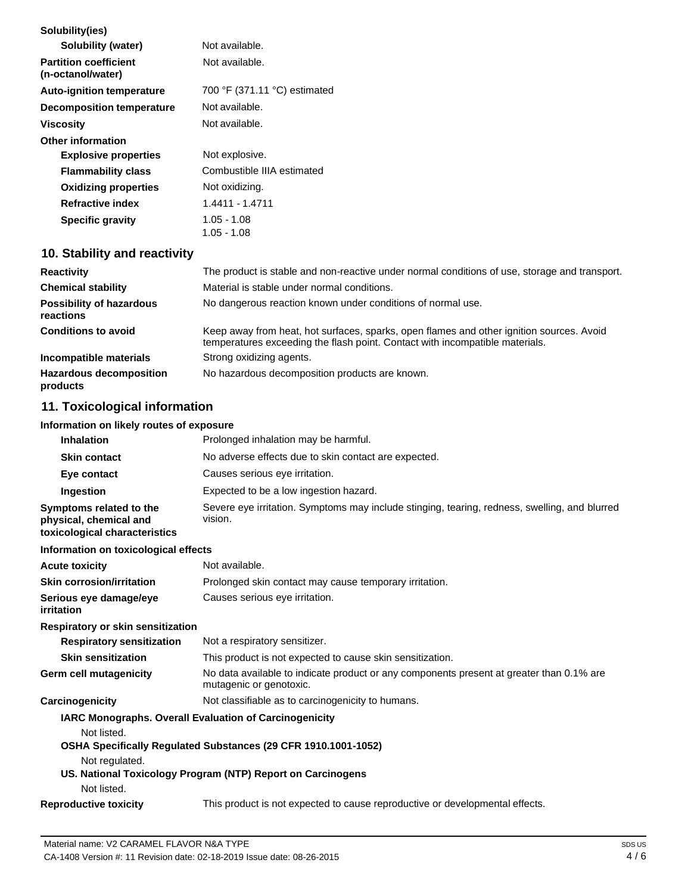| Solubility(ies)                                   |                              |
|---------------------------------------------------|------------------------------|
| Solubility (water)                                | Not available.               |
| <b>Partition coefficient</b><br>(n-octanol/water) | Not available.               |
| <b>Auto-ignition temperature</b>                  | 700 °F (371.11 °C) estimated |
| Decomposition temperature                         | Not available.               |
| Viscosity                                         | Not available.               |
| <b>Other information</b>                          |                              |
| <b>Explosive properties</b>                       | Not explosive.               |
| <b>Flammability class</b>                         | Combustible IIIA estimated   |
| <b>Oxidizing properties</b>                       | Not oxidizing.               |
| <b>Refractive index</b>                           | 1.4411 - 1.4711              |
| <b>Specific gravity</b>                           | 1.05 - 1.08<br>1.05 - 1.08   |

# **10. Stability and reactivity**

| <b>Reactivity</b>                            | The product is stable and non-reactive under normal conditions of use, storage and transport.                                                                            |
|----------------------------------------------|--------------------------------------------------------------------------------------------------------------------------------------------------------------------------|
| <b>Chemical stability</b>                    | Material is stable under normal conditions.                                                                                                                              |
| <b>Possibility of hazardous</b><br>reactions | No dangerous reaction known under conditions of normal use.                                                                                                              |
| <b>Conditions to avoid</b>                   | Keep away from heat, hot surfaces, sparks, open flames and other ignition sources. Avoid<br>temperatures exceeding the flash point. Contact with incompatible materials. |
| Incompatible materials                       | Strong oxidizing agents.                                                                                                                                                 |
| <b>Hazardous decomposition</b><br>products   | No hazardous decomposition products are known.                                                                                                                           |

# **11. Toxicological information**

# **Information on likely routes of exposure**

| Prolonged inhalation may be harmful.                                                                     |
|----------------------------------------------------------------------------------------------------------|
| No adverse effects due to skin contact are expected.                                                     |
| Causes serious eye irritation.                                                                           |
| Expected to be a low ingestion hazard.                                                                   |
| Severe eye irritation. Symptoms may include stinging, tearing, redness, swelling, and blurred<br>vision. |
|                                                                                                          |

# **Information on toxicological effects**

| <b>Acute toxicity</b>                | Not available.                                         |
|--------------------------------------|--------------------------------------------------------|
| <b>Skin corrosion/irritation</b>     | Prolonged skin contact may cause temporary irritation. |
| Serious eye damage/eye<br>irritation | Causes serious eye irritation.                         |

# **Respiratory or skin sensitization**

| <b>Respiratory sensitization</b> | Not a respiratory sensitizer.                                                                                       |
|----------------------------------|---------------------------------------------------------------------------------------------------------------------|
| <b>Skin sensitization</b>        | This product is not expected to cause skin sensitization.                                                           |
| Germ cell mutagenicity           | No data available to indicate product or any components present at greater than 0.1% are<br>mutagenic or genotoxic. |
| Carcinogenicity                  | Not classifiable as to carcinogenicity to humans.                                                                   |

|                              | <b>IARC Monographs. Overall Evaluation of Carcinogenicity</b>                |
|------------------------------|------------------------------------------------------------------------------|
| Not listed.                  |                                                                              |
|                              | OSHA Specifically Regulated Substances (29 CFR 1910.1001-1052)               |
| Not regulated.               |                                                                              |
|                              | US. National Toxicology Program (NTP) Report on Carcinogens                  |
| Not listed.                  |                                                                              |
| <b>Reproductive toxicity</b> | This product is not expected to cause reproductive or developmental effects. |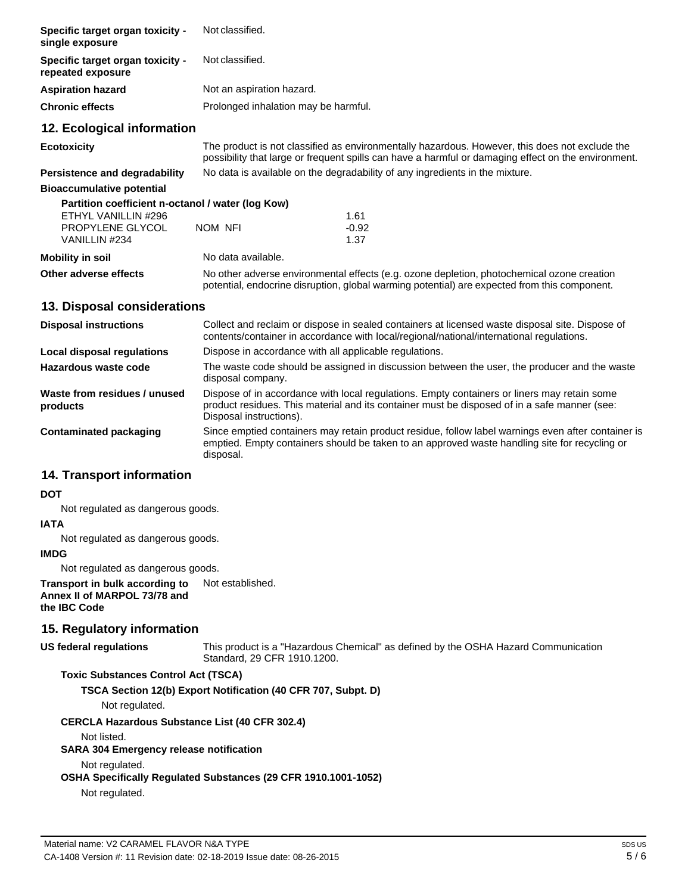| Specific target organ toxicity -<br>single exposure   | Not classified.                                                                                                                                                                                       |         |  |
|-------------------------------------------------------|-------------------------------------------------------------------------------------------------------------------------------------------------------------------------------------------------------|---------|--|
| Specific target organ toxicity -<br>repeated exposure | Not classified.                                                                                                                                                                                       |         |  |
| <b>Aspiration hazard</b>                              | Not an aspiration hazard.                                                                                                                                                                             |         |  |
| <b>Chronic effects</b>                                | Prolonged inhalation may be harmful.                                                                                                                                                                  |         |  |
| 12. Ecological information                            |                                                                                                                                                                                                       |         |  |
| <b>Ecotoxicity</b>                                    | The product is not classified as environmentally hazardous. However, this does not exclude the<br>possibility that large or frequent spills can have a harmful or damaging effect on the environment. |         |  |
| <b>Persistence and degradability</b>                  | No data is available on the degradability of any ingredients in the mixture.                                                                                                                          |         |  |
| <b>Bioaccumulative potential</b>                      |                                                                                                                                                                                                       |         |  |
| Partition coefficient n-octanol / water (log Kow)     |                                                                                                                                                                                                       |         |  |
| ETHYL VANILLIN #296                                   |                                                                                                                                                                                                       | 1.61    |  |
| PROPYLENE GLYCOL                                      | NOM NFI                                                                                                                                                                                               | $-0.92$ |  |
| VANILLIN #234                                         |                                                                                                                                                                                                       | 1.37    |  |
| <b>Mobility in soil</b>                               | No data available.                                                                                                                                                                                    |         |  |
| Other adverse effects                                 | No other adverse environmental effects (e.g. ozone depletion, photochemical ozone creation<br>potential, endocrine disruption, global warming potential) are expected from this component.            |         |  |

# **13. Disposal considerations**

| <b>Disposal instructions</b>             | Collect and reclaim or dispose in sealed containers at licensed waste disposal site. Dispose of<br>contents/container in accordance with local/regional/national/international regulations.                            |
|------------------------------------------|------------------------------------------------------------------------------------------------------------------------------------------------------------------------------------------------------------------------|
| Local disposal regulations               | Dispose in accordance with all applicable regulations.                                                                                                                                                                 |
| Hazardous waste code                     | The waste code should be assigned in discussion between the user, the producer and the waste<br>disposal company.                                                                                                      |
| Waste from residues / unused<br>products | Dispose of in accordance with local regulations. Empty containers or liners may retain some<br>product residues. This material and its container must be disposed of in a safe manner (see:<br>Disposal instructions). |
| Contaminated packaging                   | Since emptied containers may retain product residue, follow label warnings even after container is<br>emptied. Empty containers should be taken to an approved waste handling site for recycling or<br>disposal.       |

# **14. Transport information**

# **DOT**

Not regulated as dangerous goods.

# **IATA**

Not regulated as dangerous goods.

# **IMDG**

Not regulated as dangerous goods.

#### **Transport in bulk according to Annex II of MARPOL 73/78 and the IBC Code** Not established.

# **15. Regulatory information**

### **US federal regulations**

This product is a "Hazardous Chemical" as defined by the OSHA Hazard Communication Standard, 29 CFR 1910.1200.

# **Toxic Substances Control Act (TSCA)**

**TSCA Section 12(b) Export Notification (40 CFR 707, Subpt. D)**

Not regulated.

### **CERCLA Hazardous Substance List (40 CFR 302.4)**

Not listed.

### **SARA 304 Emergency release notification**

Not regulated.

# **OSHA Specifically Regulated Substances (29 CFR 1910.1001-1052)**

Not regulated.